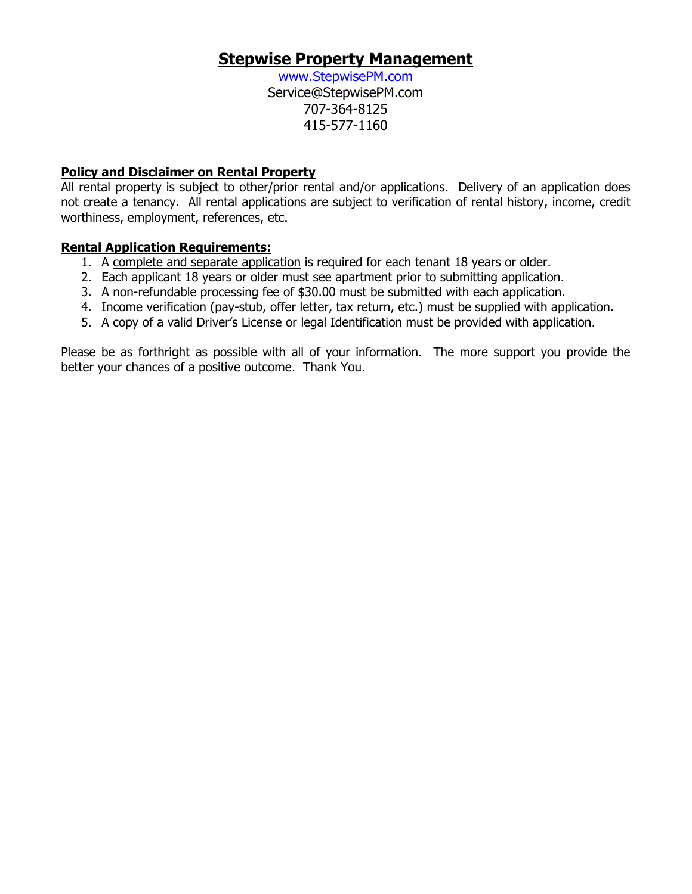## **Stepwise Property Management**

www.StepwisePM.com Service@StepwisePM.com 707-364-8125 415-577-1160

## **Policy and Disclaimer on Rental Property**

All rental property is subject to other/prior rental and/or applications. Delivery of an application does not create a tenancy. All rental applications are subject to verification of rental history, income, credit worthiness, employment, references, etc.

## **Rental Application Requirements:**

- 1. A complete and separate application is required for each tenant 18 years or older.
- 2. Each applicant 18 years or older must see apartment prior to submitting application.
- 3. A non-refundable processing fee of \$30.00 must be submitted with each application.
- 4. Income verification (pay-stub, offer letter, tax return, etc.) must be supplied with application.
- 5. A copy of a valid Driver's License or legal Identification must be provided with application.

Please be as forthright as possible with all of your information. The more support you provide the better your chances of a positive outcome. Thank You.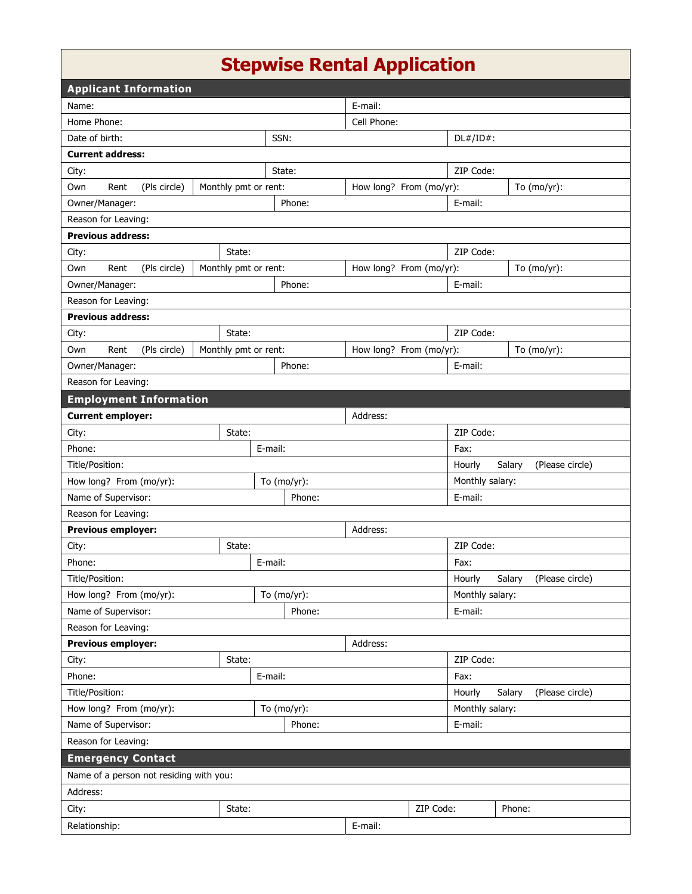## **Stepwise Rental Application**

| <b>Applicant Information</b>                           |                      |                |                         |                                     |                 |                           |  |  |  |  |
|--------------------------------------------------------|----------------------|----------------|-------------------------|-------------------------------------|-----------------|---------------------------|--|--|--|--|
| Name:                                                  | E-mail:              |                |                         |                                     |                 |                           |  |  |  |  |
| Home Phone:                                            |                      |                | Cell Phone:             |                                     |                 |                           |  |  |  |  |
| Date of birth:                                         |                      |                |                         | SSN:                                |                 | $DL#/ID#$ :               |  |  |  |  |
| <b>Current address:</b>                                |                      |                |                         |                                     |                 |                           |  |  |  |  |
| City:                                                  | State:               |                |                         | ZIP Code:                           |                 |                           |  |  |  |  |
| Own<br>Rent<br>(Pls circle)                            | Monthly pmt or rent: |                | How long? From (mo/yr): |                                     |                 | To $(mo/yr)$ :            |  |  |  |  |
| Owner/Manager:                                         |                      | Phone:         |                         |                                     | E-mail:         |                           |  |  |  |  |
| Reason for Leaving:                                    |                      |                |                         |                                     |                 |                           |  |  |  |  |
| <b>Previous address:</b>                               |                      |                |                         |                                     |                 |                           |  |  |  |  |
| City:                                                  | State:               |                |                         | ZIP Code:                           |                 |                           |  |  |  |  |
| Own<br>Rent<br>(Pls circle)                            | Monthly pmt or rent: |                | How long? From (mo/yr): |                                     | To $(mo/yr)$ :  |                           |  |  |  |  |
| Owner/Manager:                                         |                      | Phone:         |                         |                                     | E-mail:         |                           |  |  |  |  |
| Reason for Leaving:                                    |                      |                |                         |                                     |                 |                           |  |  |  |  |
| <b>Previous address:</b>                               |                      |                |                         |                                     |                 |                           |  |  |  |  |
| City:                                                  | State:               |                |                         |                                     | ZIP Code:       |                           |  |  |  |  |
| Own<br>Rent<br>(Pls circle)                            | Monthly pmt or rent: |                | How long? From (mo/yr): |                                     |                 | To $(mo/yr)$ :            |  |  |  |  |
| Owner/Manager:                                         |                      | Phone:         |                         |                                     | E-mail:         |                           |  |  |  |  |
| Reason for Leaving:                                    |                      |                |                         |                                     |                 |                           |  |  |  |  |
| <b>Employment Information</b>                          |                      |                |                         |                                     |                 |                           |  |  |  |  |
| <b>Current employer:</b>                               |                      |                | Address:                |                                     |                 |                           |  |  |  |  |
| State:<br>City:                                        |                      |                |                         |                                     | ZIP Code:       |                           |  |  |  |  |
| Phone:                                                 |                      | E-mail:        |                         | Fax:                                |                 |                           |  |  |  |  |
| Title/Position:                                        |                      |                |                         |                                     | Hourly          | Salary<br>(Please circle) |  |  |  |  |
| How long? From (mo/yr):                                |                      | To (mo/yr):    |                         |                                     | Monthly salary: |                           |  |  |  |  |
| Name of Supervisor:                                    |                      | Phone:         |                         |                                     | E-mail:         |                           |  |  |  |  |
| Reason for Leaving:                                    |                      |                |                         |                                     |                 |                           |  |  |  |  |
| <b>Previous employer:</b><br>Address:                  |                      |                |                         |                                     |                 |                           |  |  |  |  |
| City:                                                  | State:               |                |                         |                                     | ZIP Code:       |                           |  |  |  |  |
| Phone:                                                 |                      | E-mail:        |                         |                                     | Fax:            |                           |  |  |  |  |
| Title/Position:                                        |                      |                |                         | Hourly<br>Salary<br>(Please circle) |                 |                           |  |  |  |  |
| How long? From (mo/yr):                                |                      | To $(mo/yr)$ : |                         |                                     | Monthly salary: |                           |  |  |  |  |
| Name of Supervisor:                                    |                      | Phone:         |                         |                                     | E-mail:         |                           |  |  |  |  |
| Reason for Leaving:                                    |                      |                |                         |                                     |                 |                           |  |  |  |  |
| <b>Previous employer:</b>                              |                      | Address:       |                         |                                     |                 |                           |  |  |  |  |
| State:<br>City:                                        |                      |                |                         | ZIP Code:                           |                 |                           |  |  |  |  |
| E-mail:<br>Phone:                                      |                      |                | Fax:                    |                                     |                 |                           |  |  |  |  |
| Title/Position:<br>(Please circle)<br>Hourly<br>Salary |                      |                |                         |                                     |                 |                           |  |  |  |  |
| How long? From (mo/yr):<br>To $(mo/yr)$ :              |                      |                |                         |                                     | Monthly salary: |                           |  |  |  |  |
| Name of Supervisor:                                    | Phone:               |                |                         |                                     | E-mail:         |                           |  |  |  |  |
| Reason for Leaving:                                    |                      |                |                         |                                     |                 |                           |  |  |  |  |
| <b>Emergency Contact</b>                               |                      |                |                         |                                     |                 |                           |  |  |  |  |
| Name of a person not residing with you:                |                      |                |                         |                                     |                 |                           |  |  |  |  |
| Address:                                               |                      |                |                         |                                     |                 |                           |  |  |  |  |
| City:                                                  | State:               |                |                         | ZIP Code:                           |                 | Phone:                    |  |  |  |  |
| Relationship:                                          |                      |                | E-mail:                 |                                     |                 |                           |  |  |  |  |